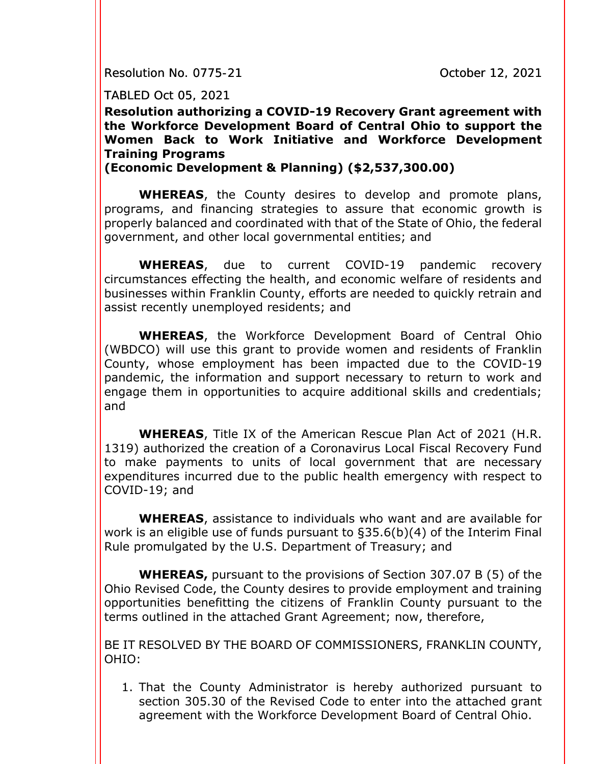Resolution No. 0775-21 **Communist Communist Communist Communist Communist Communist Communist Communist Communist** 

TABLED Oct 05, 2021

**Resolution authorizing a COVID-19 Recovery Grant agreement with the Workforce Development Board of Central Ohio to support the Women Back to Work Initiative and Workforce Development Training Programs**

## **(Economic Development & Planning) (\$2,537,300.00)**

**WHEREAS**, the County desires to develop and promote plans, programs, and financing strategies to assure that economic growth is properly balanced and coordinated with that of the State of Ohio, the federal government, and other local governmental entities; and

**WHEREAS**, due to current COVID-19 pandemic recovery circumstances effecting the health, and economic welfare of residents and businesses within Franklin County, efforts are needed to quickly retrain and assist recently unemployed residents; and

**WHEREAS**, the Workforce Development Board of Central Ohio (WBDCO) will use this grant to provide women and residents of Franklin County, whose employment has been impacted due to the COVID-19 pandemic, the information and support necessary to return to work and engage them in opportunities to acquire additional skills and credentials; and

**WHEREAS**, Title IX of the American Rescue Plan Act of 2021 (H.R. 1319) authorized the creation of a Coronavirus Local Fiscal Recovery Fund to make payments to units of local government that are necessary expenditures incurred due to the public health emergency with respect to COVID-19; and

**WHEREAS**, assistance to individuals who want and are available for work is an eligible use of funds pursuant to §35.6(b)(4) of the Interim Final Rule promulgated by the U.S. Department of Treasury; and

**WHEREAS,** pursuant to the provisions of Section 307.07 B (5) of the Ohio Revised Code, the County desires to provide employment and training opportunities benefitting the citizens of Franklin County pursuant to the terms outlined in the attached Grant Agreement; now, therefore,

BE IT RESOLVED BY THE BOARD OF COMMISSIONERS, FRANKLIN COUNTY, OHIO:

1. That the County Administrator is hereby authorized pursuant to section 305.30 of the Revised Code to enter into the attached grant agreement with the Workforce Development Board of Central Ohio.